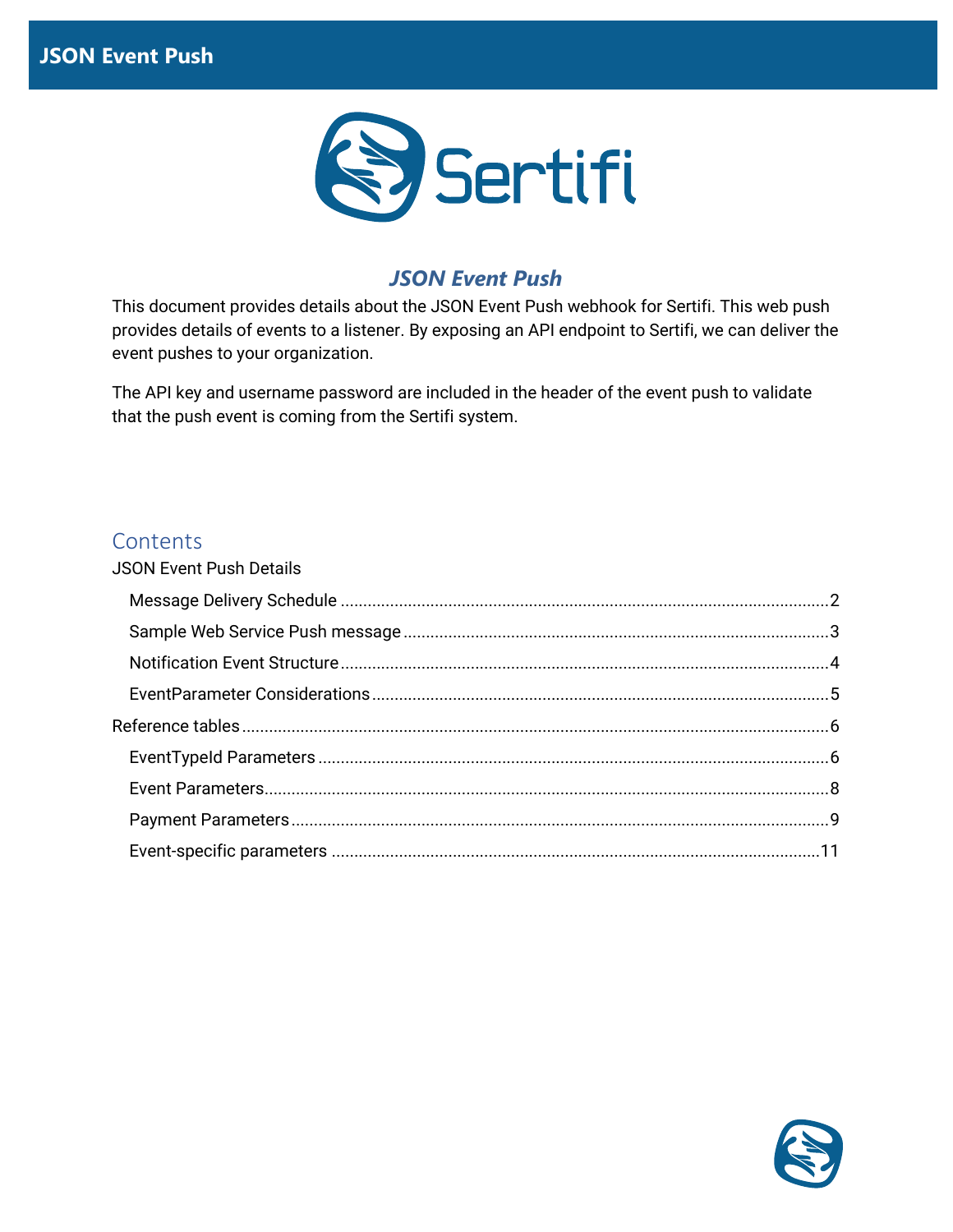

## *JSON Event Push*

This document provides details about the JSON Event Push webhook for Sertifi. This web push provides details of events to a listener. By exposing an API endpoint to Sertifi, we can deliver the event pushes to your organization.

The API key and username password are included in the header of the event push to validate that the push event is coming from the Sertifi system.

### **Contents**

| <b>JSON Event Push Details</b> |  |
|--------------------------------|--|
|                                |  |
|                                |  |
|                                |  |
|                                |  |
|                                |  |
|                                |  |
|                                |  |
|                                |  |
|                                |  |
|                                |  |

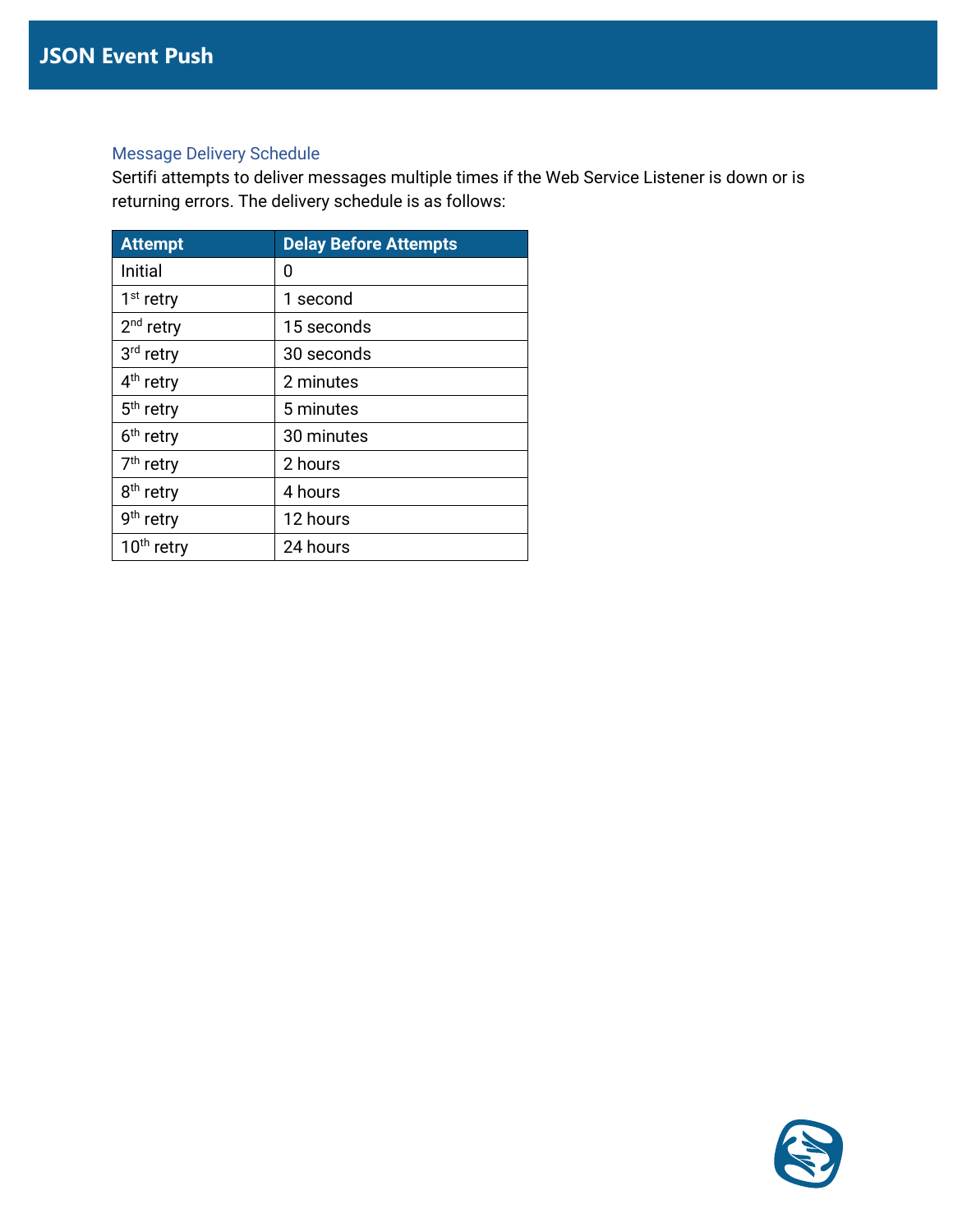#### <span id="page-1-0"></span>Message Delivery Schedule

Sertifi attempts to deliver messages multiple times if the Web Service Listener is down or is returning errors. The delivery schedule is as follows:

| <b>Attempt</b>         | <b>Delay Before Attempts</b> |
|------------------------|------------------------------|
| <b>Initial</b>         | 0                            |
| $1st$ retry            | 1 second                     |
| 2 <sup>nd</sup> retry  | 15 seconds                   |
| 3rd retry              | 30 seconds                   |
| 4 <sup>th</sup> retry  | 2 minutes                    |
| 5 <sup>th</sup> retry  | 5 minutes                    |
| 6 <sup>th</sup> retry  | 30 minutes                   |
| 7 <sup>th</sup> retry  | 2 hours                      |
| 8 <sup>th</sup> retry  | 4 hours                      |
| 9 <sup>th</sup> retry  | 12 hours                     |
| 10 <sup>th</sup> retry | 24 hours                     |

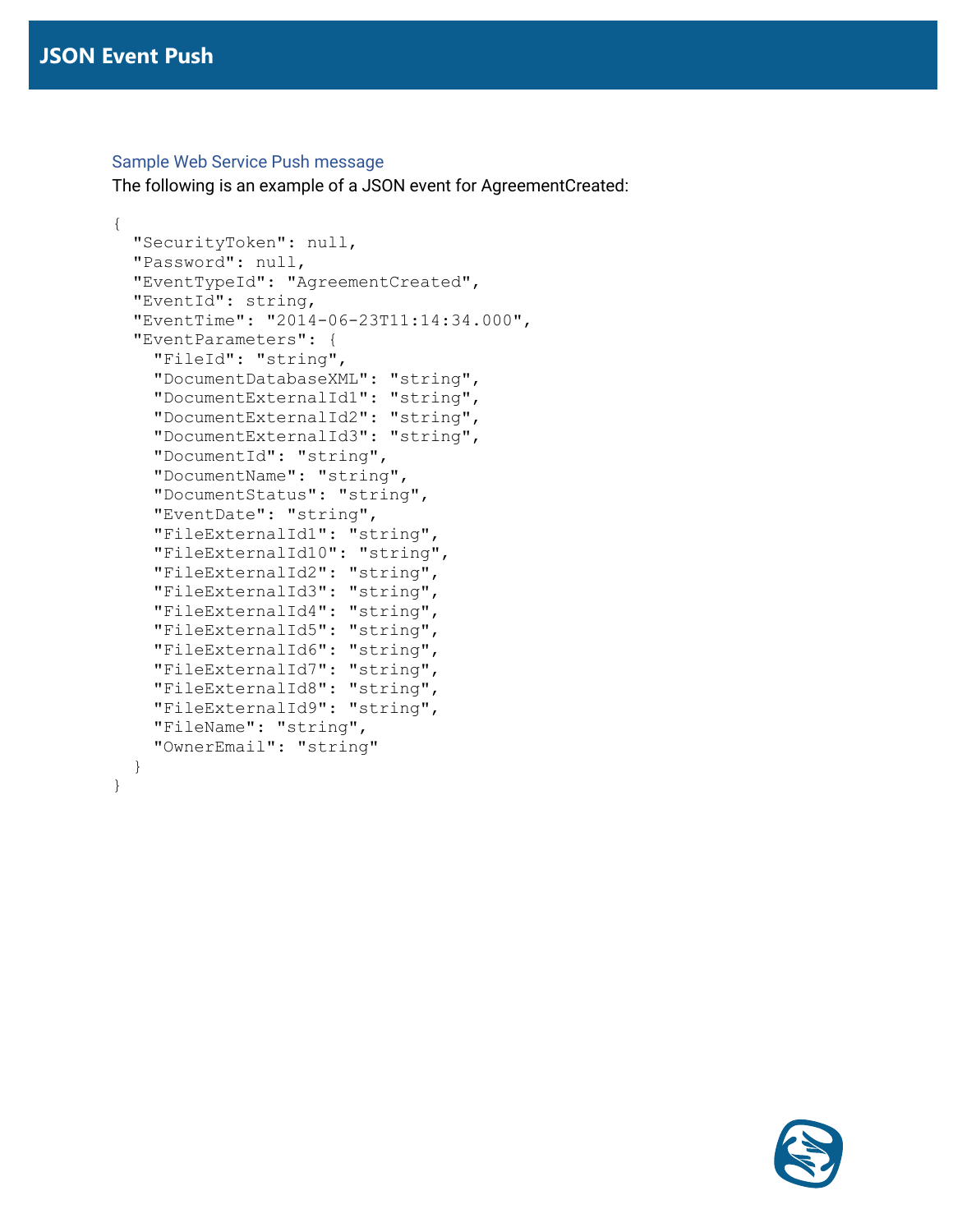#### <span id="page-2-0"></span>Sample Web Service Push message

The following is an example of a JSON event for AgreementCreated:

```
{
  "SecurityToken": null,
  "Password": null,
  "EventTypeId": "AgreementCreated",
  "EventId": string,
   "EventTime": "2014-06-23T11:14:34.000",
  "EventParameters": {
     "FileId": "string",
     "DocumentDatabaseXML": "string",
     "DocumentExternalId1": "string",
     "DocumentExternalId2": "string",
     "DocumentExternalId3": "string",
     "DocumentId": "string",
     "DocumentName": "string",
     "DocumentStatus": "string",
     "EventDate": "string",
     "FileExternalId1": "string",
     "FileExternalId10": "string",
     "FileExternalId2": "string",
     "FileExternalId3": "string",
     "FileExternalId4": "string",
     "FileExternalId5": "string",
     "FileExternalId6": "string",
     "FileExternalId7": "string",
     "FileExternalId8": "string",
     "FileExternalId9": "string",
     "FileName": "string",
     "OwnerEmail": "string"
  }
}
```
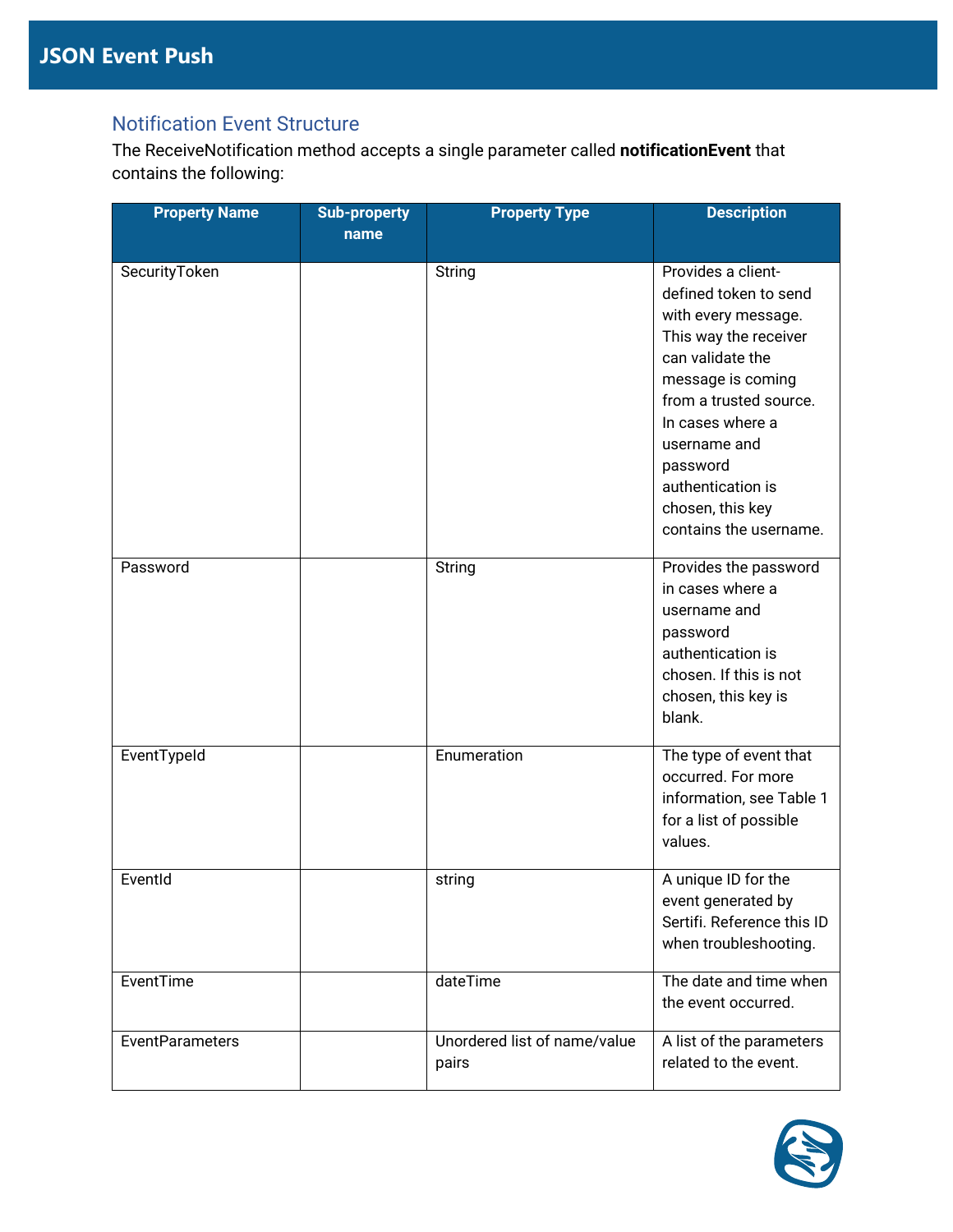## <span id="page-3-0"></span>Notification Event Structure

The ReceiveNotification method accepts a single parameter called **notificationEvent** that contains the following:

| <b>Property Name</b>   | <b>Sub-property</b><br>name | <b>Property Type</b>         | <b>Description</b>         |
|------------------------|-----------------------------|------------------------------|----------------------------|
| SecurityToken          |                             | String                       | Provides a client-         |
|                        |                             |                              | defined token to send      |
|                        |                             |                              | with every message.        |
|                        |                             |                              | This way the receiver      |
|                        |                             |                              | can validate the           |
|                        |                             |                              | message is coming          |
|                        |                             |                              | from a trusted source.     |
|                        |                             |                              | In cases where a           |
|                        |                             |                              | username and               |
|                        |                             |                              | password                   |
|                        |                             |                              | authentication is          |
|                        |                             |                              | chosen, this key           |
|                        |                             |                              | contains the username.     |
|                        |                             |                              |                            |
| Password               |                             | String                       | Provides the password      |
|                        |                             |                              | in cases where a           |
|                        |                             |                              | username and               |
|                        |                             |                              | password                   |
|                        |                             |                              | authentication is          |
|                        |                             |                              | chosen. If this is not     |
|                        |                             |                              | chosen, this key is        |
|                        |                             |                              | blank.                     |
|                        |                             |                              |                            |
| EventTypeId            |                             | Enumeration                  | The type of event that     |
|                        |                             |                              | occurred. For more         |
|                        |                             |                              | information, see Table 1   |
|                        |                             |                              | for a list of possible     |
|                        |                             |                              | values.                    |
| EventId                |                             | string                       | A unique ID for the        |
|                        |                             |                              | event generated by         |
|                        |                             |                              | Sertifi. Reference this ID |
|                        |                             |                              | when troubleshooting.      |
|                        |                             |                              |                            |
| EventTime              |                             | dateTime                     | The date and time when     |
|                        |                             |                              | the event occurred.        |
| <b>EventParameters</b> |                             | Unordered list of name/value | A list of the parameters   |
|                        |                             | pairs                        | related to the event.      |
|                        |                             |                              |                            |

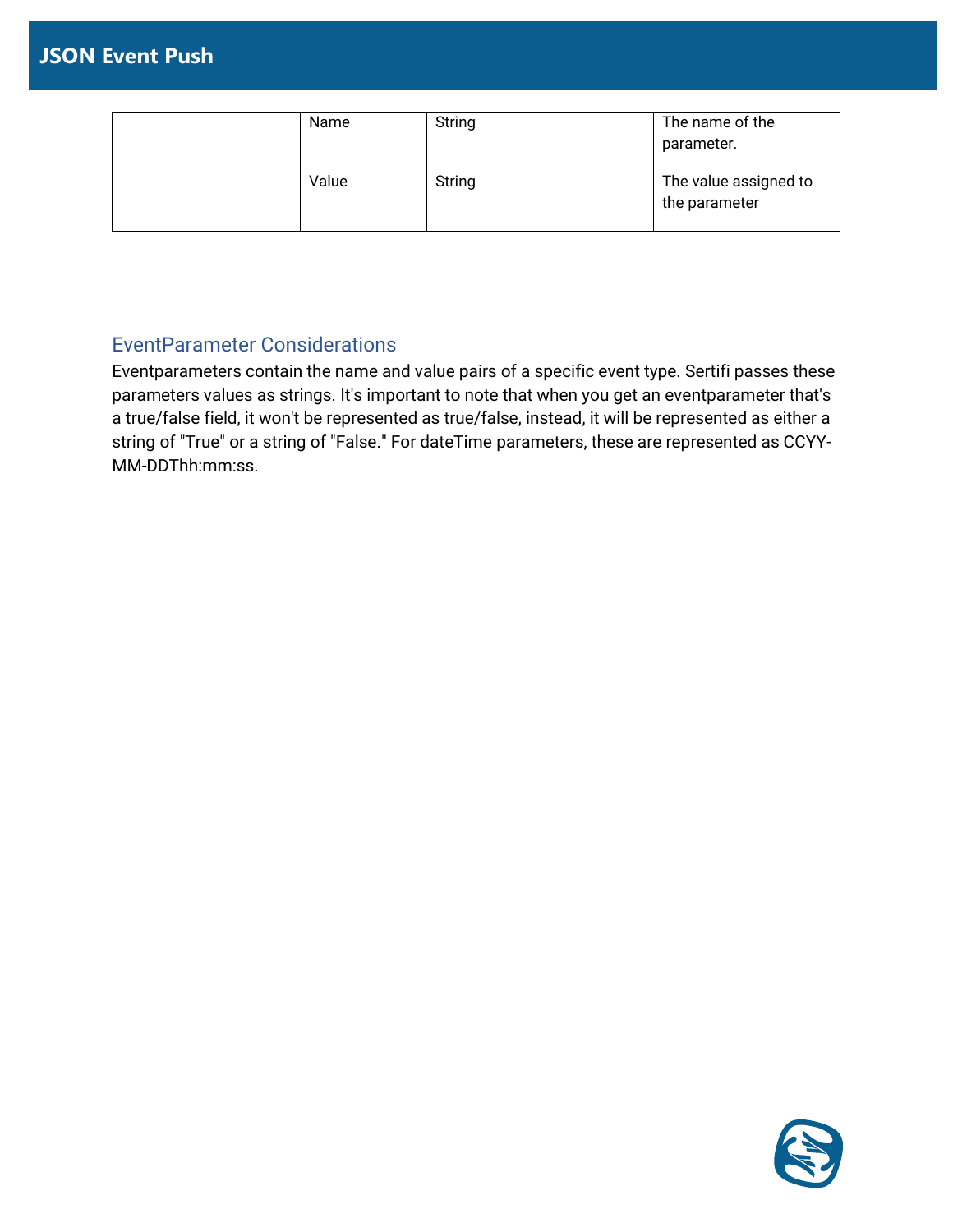| Name  | String | The name of the<br>parameter.          |
|-------|--------|----------------------------------------|
| Value | String | The value assigned to<br>the parameter |

## <span id="page-4-0"></span>EventParameter Considerations

Eventparameters contain the name and value pairs of a specific event type. Sertifi passes these parameters values as strings. It's important to note that when you get an eventparameter that's a true/false field, it won't be represented as true/false, instead, it will be represented as either a string of "True" or a string of "False." For dateTime parameters, these are represented as CCYY-MM-DDThh:mm:ss.

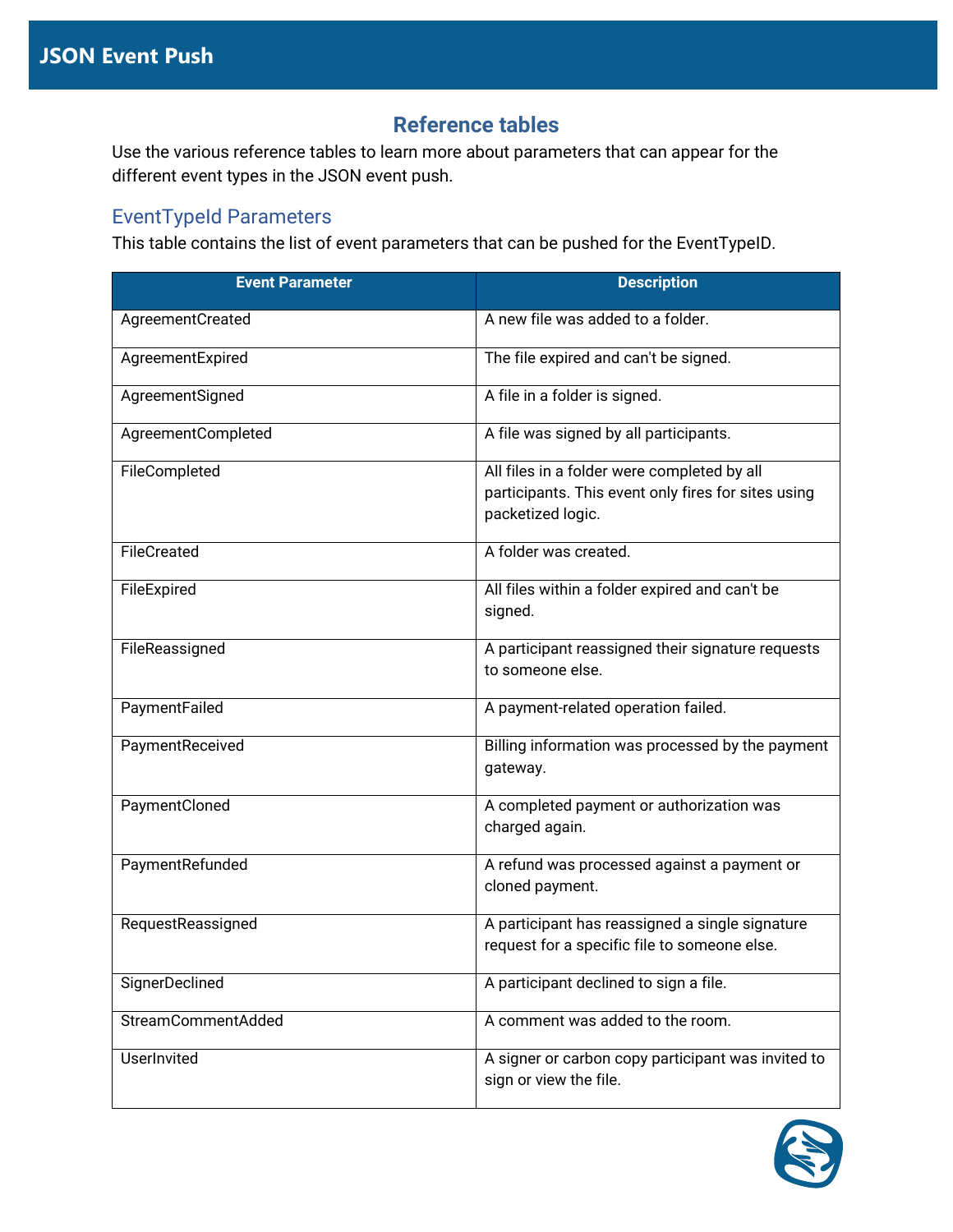## **Reference tables**

<span id="page-5-0"></span>Use the various reference tables to learn more about parameters that can appear for the different event types in the JSON event push.

### <span id="page-5-1"></span>EventTypeId Parameters

This table contains the list of event parameters that can be pushed for the EventTypeID.

| <b>Event Parameter</b> | <b>Description</b>                                                                                                      |  |
|------------------------|-------------------------------------------------------------------------------------------------------------------------|--|
| AgreementCreated       | A new file was added to a folder.                                                                                       |  |
| AgreementExpired       | The file expired and can't be signed.                                                                                   |  |
| AgreementSigned        | A file in a folder is signed.                                                                                           |  |
| AgreementCompleted     | A file was signed by all participants.                                                                                  |  |
| FileCompleted          | All files in a folder were completed by all<br>participants. This event only fires for sites using<br>packetized logic. |  |
| FileCreated            | A folder was created.                                                                                                   |  |
| FileExpired            | All files within a folder expired and can't be<br>signed.                                                               |  |
| FileReassigned         | A participant reassigned their signature requests<br>to someone else.                                                   |  |
| PaymentFailed          | A payment-related operation failed.                                                                                     |  |
| PaymentReceived        | Billing information was processed by the payment<br>gateway.                                                            |  |
| PaymentCloned          | A completed payment or authorization was<br>charged again.                                                              |  |
| PaymentRefunded        | A refund was processed against a payment or<br>cloned payment.                                                          |  |
| RequestReassigned      | A participant has reassigned a single signature<br>request for a specific file to someone else.                         |  |
| SignerDeclined         | A participant declined to sign a file.                                                                                  |  |
| StreamCommentAdded     | A comment was added to the room.                                                                                        |  |
| UserInvited            | A signer or carbon copy participant was invited to<br>sign or view the file.                                            |  |

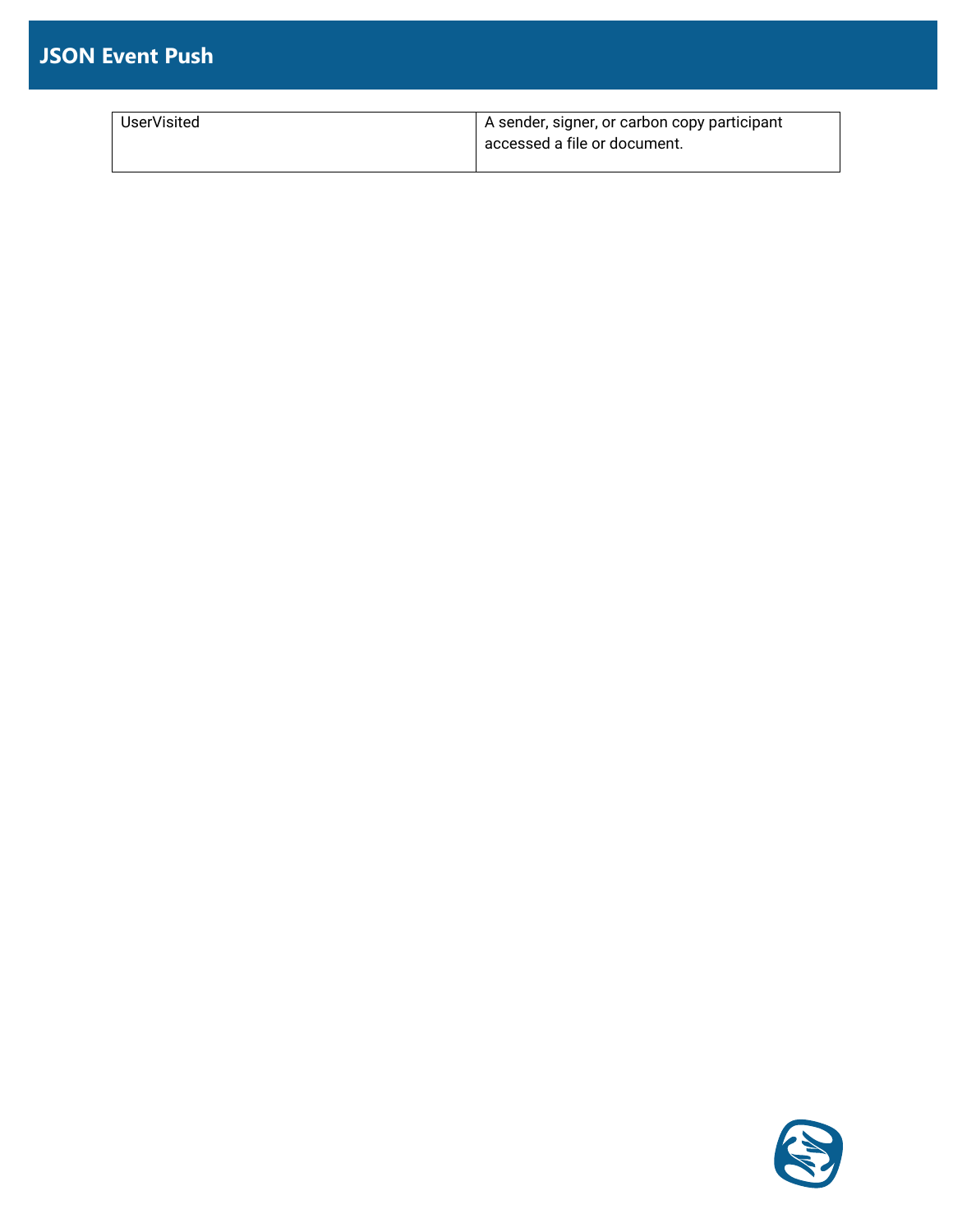# **JSON Event Push**

| <b>UserVisited</b> | I A sender, signer, or carbon copy participant |
|--------------------|------------------------------------------------|
|                    | accessed a file or document.                   |
|                    |                                                |

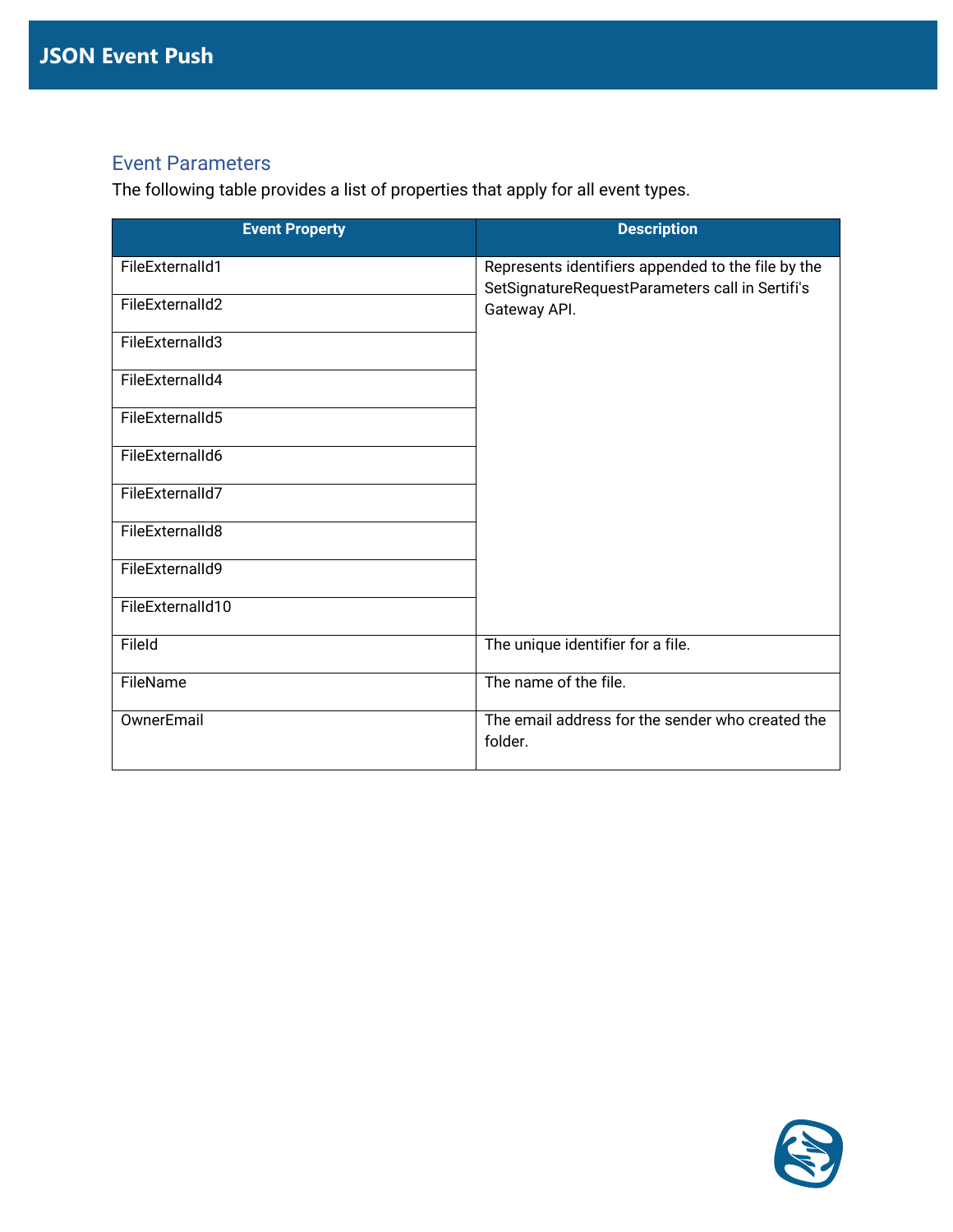### <span id="page-7-0"></span>Event Parameters

The following table provides a list of properties that apply for all event types.

| <b>Event Property</b> | <b>Description</b>                                                                                    |
|-----------------------|-------------------------------------------------------------------------------------------------------|
| FileExternalId1       | Represents identifiers appended to the file by the<br>SetSignatureRequestParameters call in Sertifi's |
| FileExternalId2       | Gateway API.                                                                                          |
| FileExternalId3       |                                                                                                       |
| FileExternalId4       |                                                                                                       |
| FileExternalId5       |                                                                                                       |
| FileExternalId6       |                                                                                                       |
| FileExternalId7       |                                                                                                       |
| FileExternalId8       |                                                                                                       |
| FileExternalId9       |                                                                                                       |
| FileExternalId10      |                                                                                                       |
| FileId                | The unique identifier for a file.                                                                     |
| FileName              | The name of the file.                                                                                 |
| OwnerEmail            | The email address for the sender who created the<br>folder.                                           |

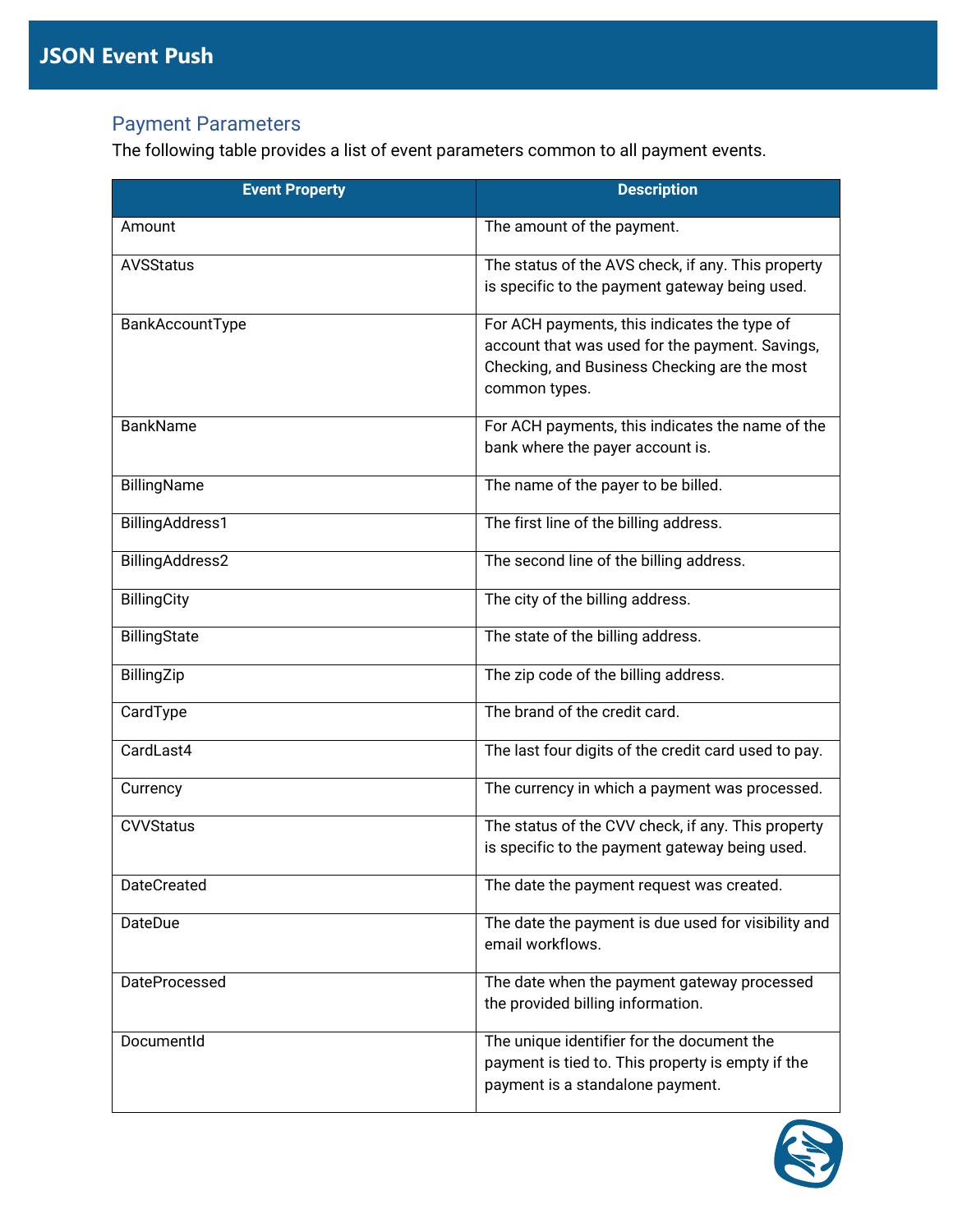# <span id="page-8-0"></span>Payment Parameters

The following table provides a list of event parameters common to all payment events.

| <b>Event Property</b> | <b>Description</b>                                                                                                                                               |
|-----------------------|------------------------------------------------------------------------------------------------------------------------------------------------------------------|
| Amount                | The amount of the payment.                                                                                                                                       |
| <b>AVSStatus</b>      | The status of the AVS check, if any. This property<br>is specific to the payment gateway being used.                                                             |
| BankAccountType       | For ACH payments, this indicates the type of<br>account that was used for the payment. Savings,<br>Checking, and Business Checking are the most<br>common types. |
| <b>BankName</b>       | For ACH payments, this indicates the name of the<br>bank where the payer account is.                                                                             |
| BillingName           | The name of the payer to be billed.                                                                                                                              |
| BillingAddress1       | The first line of the billing address.                                                                                                                           |
| BillingAddress2       | The second line of the billing address.                                                                                                                          |
| <b>BillingCity</b>    | The city of the billing address.                                                                                                                                 |
| BillingState          | The state of the billing address.                                                                                                                                |
| BillingZip            | The zip code of the billing address.                                                                                                                             |
| CardType              | The brand of the credit card.                                                                                                                                    |
| CardLast4             | The last four digits of the credit card used to pay.                                                                                                             |
| Currency              | The currency in which a payment was processed.                                                                                                                   |
| <b>CVVStatus</b>      | The status of the CVV check, if any. This property<br>is specific to the payment gateway being used.                                                             |
| <b>DateCreated</b>    | The date the payment request was created.                                                                                                                        |
| DateDue               | The date the payment is due used for visibility and<br>email workflows.                                                                                          |
| <b>DateProcessed</b>  | The date when the payment gateway processed<br>the provided billing information.                                                                                 |
| DocumentId            | The unique identifier for the document the<br>payment is tied to. This property is empty if the<br>payment is a standalone payment.                              |

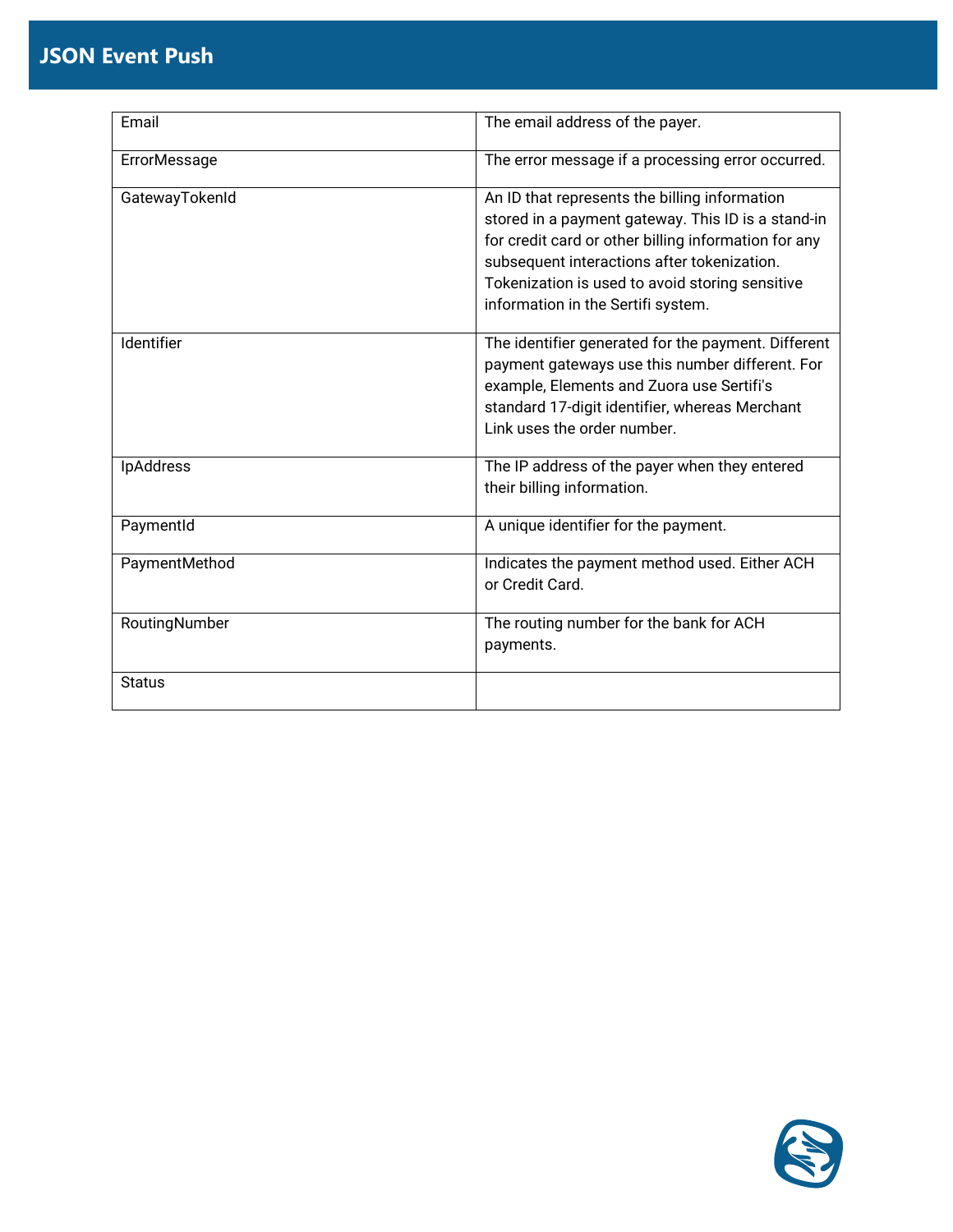# **JSON Event Push**

| Email          | The email address of the payer.                                                                                                                                                                                                                                                                     |  |
|----------------|-----------------------------------------------------------------------------------------------------------------------------------------------------------------------------------------------------------------------------------------------------------------------------------------------------|--|
| ErrorMessage   | The error message if a processing error occurred.                                                                                                                                                                                                                                                   |  |
| GatewayTokenId | An ID that represents the billing information<br>stored in a payment gateway. This ID is a stand-in<br>for credit card or other billing information for any<br>subsequent interactions after tokenization.<br>Tokenization is used to avoid storing sensitive<br>information in the Sertifi system. |  |
| Identifier     | The identifier generated for the payment. Different<br>payment gateways use this number different. For<br>example, Elements and Zuora use Sertifi's<br>standard 17-digit identifier, whereas Merchant<br>Link uses the order number.                                                                |  |
| IpAddress      | The IP address of the payer when they entered<br>their billing information.                                                                                                                                                                                                                         |  |
| PaymentId      | A unique identifier for the payment.                                                                                                                                                                                                                                                                |  |
| PaymentMethod  | Indicates the payment method used. Either ACH<br>or Credit Card.                                                                                                                                                                                                                                    |  |
| RoutingNumber  | The routing number for the bank for ACH<br>payments.                                                                                                                                                                                                                                                |  |
| <b>Status</b>  |                                                                                                                                                                                                                                                                                                     |  |

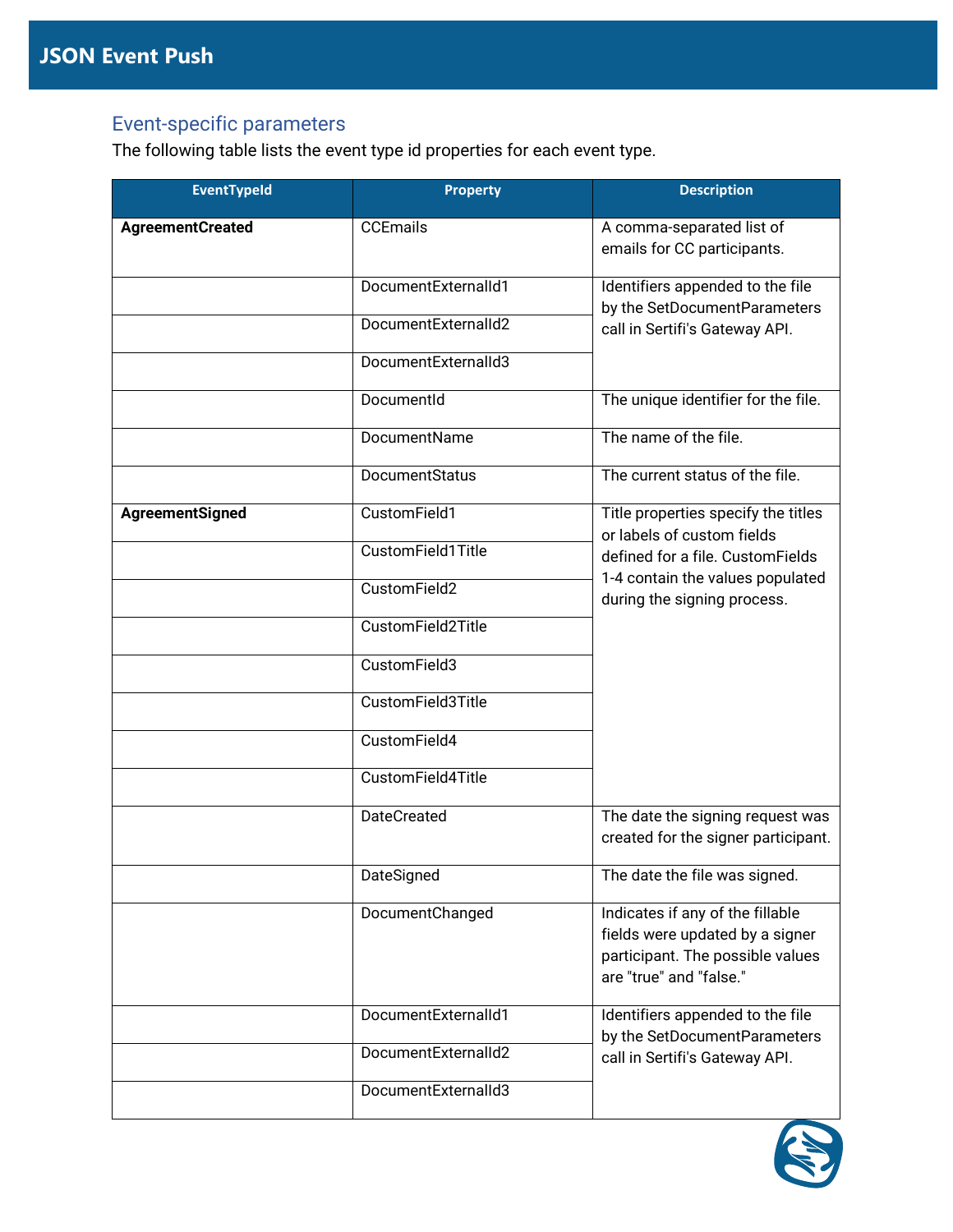# <span id="page-10-0"></span>Event-specific parameters

The following table lists the event type id properties for each event type.

| <b>EventTypeId</b>      | <b>Property</b>     | <b>Description</b>                                                                                                                 |  |
|-------------------------|---------------------|------------------------------------------------------------------------------------------------------------------------------------|--|
| <b>AgreementCreated</b> | <b>CCEmails</b>     | A comma-separated list of<br>emails for CC participants.                                                                           |  |
|                         | DocumentExternalId1 | Identifiers appended to the file<br>by the SetDocumentParameters                                                                   |  |
|                         | DocumentExternalId2 | call in Sertifi's Gateway API.                                                                                                     |  |
|                         | DocumentExternalId3 |                                                                                                                                    |  |
|                         | DocumentId          | The unique identifier for the file.                                                                                                |  |
|                         | DocumentName        | The name of the file.                                                                                                              |  |
|                         | DocumentStatus      | The current status of the file.                                                                                                    |  |
| AgreementSigned         | CustomField1        | Title properties specify the titles<br>or labels of custom fields                                                                  |  |
|                         | CustomField1Title   | defined for a file. CustomFields                                                                                                   |  |
|                         | CustomField2        | 1-4 contain the values populated<br>during the signing process.                                                                    |  |
|                         | CustomField2Title   |                                                                                                                                    |  |
|                         | CustomField3        |                                                                                                                                    |  |
|                         | CustomField3Title   |                                                                                                                                    |  |
|                         | CustomField4        |                                                                                                                                    |  |
|                         | CustomField4Title   |                                                                                                                                    |  |
|                         | <b>DateCreated</b>  | The date the signing request was<br>created for the signer participant.                                                            |  |
|                         | DateSigned          | The date the file was signed.                                                                                                      |  |
|                         | DocumentChanged     | Indicates if any of the fillable<br>fields were updated by a signer<br>participant. The possible values<br>are "true" and "false." |  |
|                         | DocumentExternalId1 | Identifiers appended to the file<br>by the SetDocumentParameters                                                                   |  |
|                         | DocumentExternalId2 | call in Sertifi's Gateway API.                                                                                                     |  |
|                         | DocumentExternalId3 |                                                                                                                                    |  |

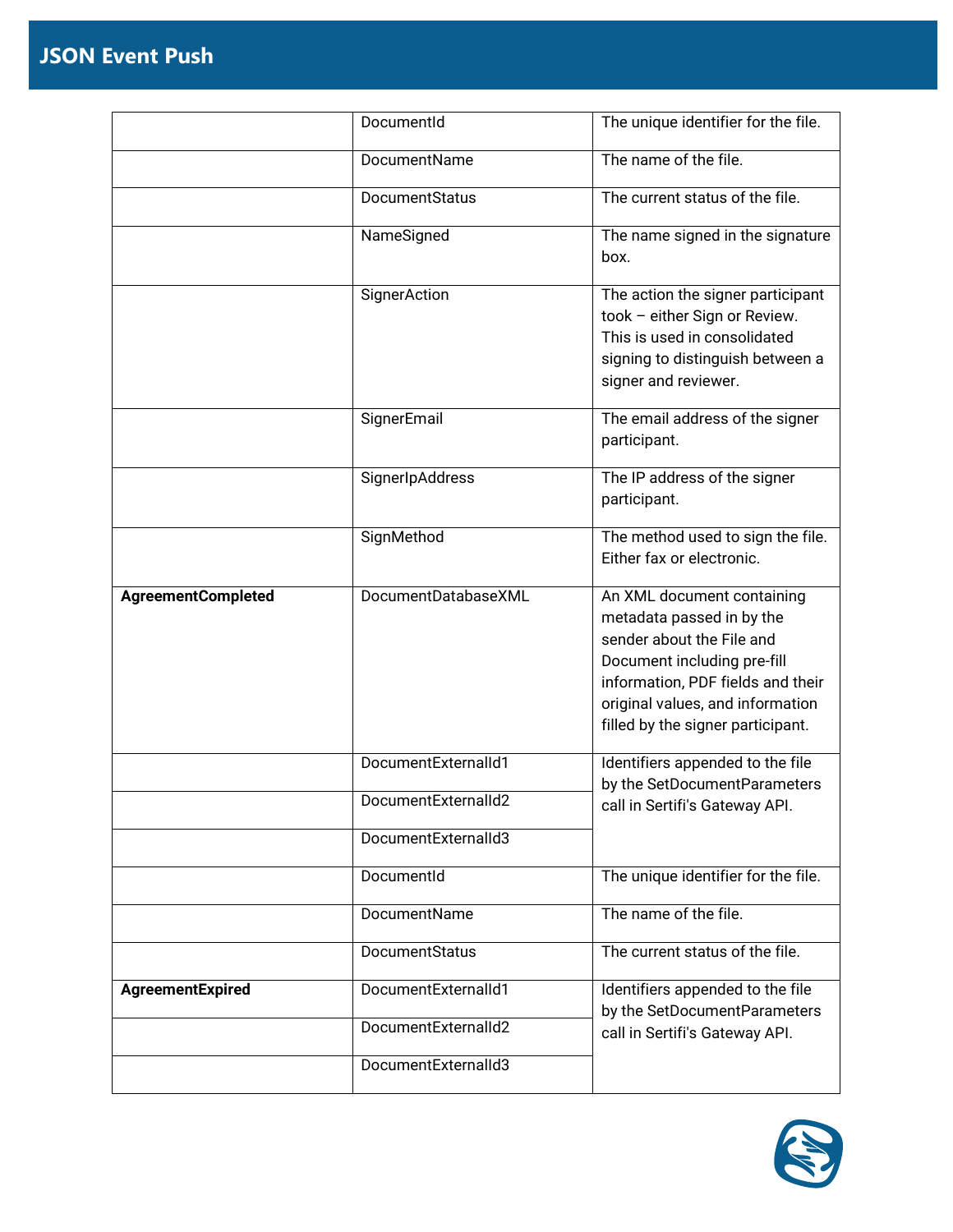|                           | DocumentId          | The unique identifier for the file.                                                                                                                                                                                               |
|---------------------------|---------------------|-----------------------------------------------------------------------------------------------------------------------------------------------------------------------------------------------------------------------------------|
|                           | DocumentName        | The name of the file.                                                                                                                                                                                                             |
|                           | DocumentStatus      | The current status of the file.                                                                                                                                                                                                   |
|                           | NameSigned          | The name signed in the signature<br>box.                                                                                                                                                                                          |
|                           | SignerAction        | The action the signer participant<br>took - either Sign or Review.<br>This is used in consolidated<br>signing to distinguish between a<br>signer and reviewer.                                                                    |
|                           | SignerEmail         | The email address of the signer<br>participant.                                                                                                                                                                                   |
|                           | SignerIpAddress     | The IP address of the signer<br>participant.                                                                                                                                                                                      |
|                           | SignMethod          | The method used to sign the file.<br>Either fax or electronic.                                                                                                                                                                    |
| <b>AgreementCompleted</b> | DocumentDatabaseXML | An XML document containing<br>metadata passed in by the<br>sender about the File and<br>Document including pre-fill<br>information, PDF fields and their<br>original values, and information<br>filled by the signer participant. |
|                           | DocumentExternalId1 | Identifiers appended to the file<br>by the SetDocumentParameters                                                                                                                                                                  |
|                           | DocumentExternalId2 | call in Sertifi's Gateway API.                                                                                                                                                                                                    |
|                           | DocumentExternalId3 |                                                                                                                                                                                                                                   |
|                           | DocumentId          | The unique identifier for the file.                                                                                                                                                                                               |
|                           | DocumentName        | The name of the file.                                                                                                                                                                                                             |
|                           | DocumentStatus      | The current status of the file.                                                                                                                                                                                                   |
| AgreementExpired          | DocumentExternalId1 | Identifiers appended to the file<br>by the SetDocumentParameters                                                                                                                                                                  |
|                           | DocumentExternalId2 | call in Sertifi's Gateway API.                                                                                                                                                                                                    |
|                           | DocumentExternalId3 |                                                                                                                                                                                                                                   |

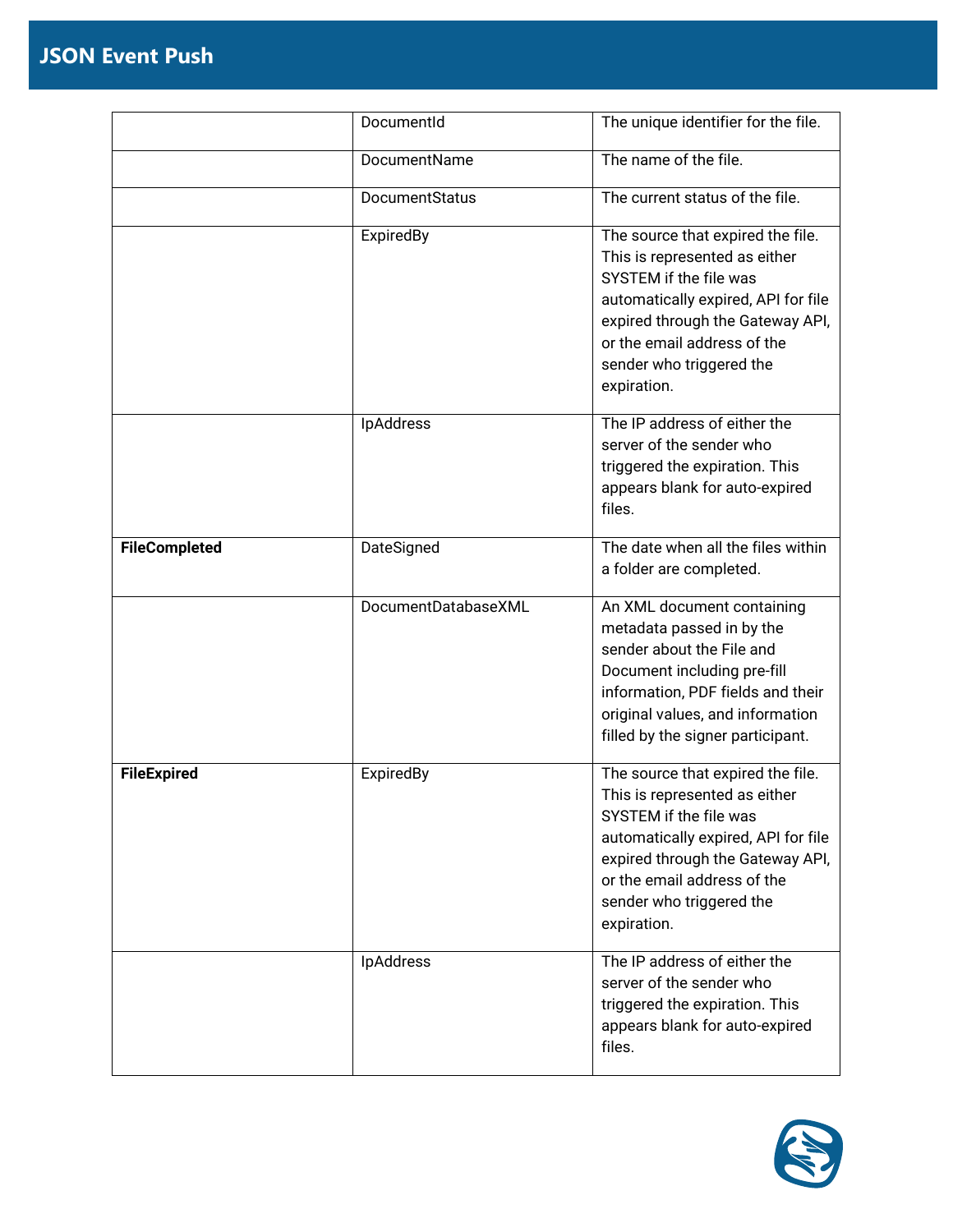|                      | DocumentId            | The unique identifier for the file.                                                                                                                                                                                                               |
|----------------------|-----------------------|---------------------------------------------------------------------------------------------------------------------------------------------------------------------------------------------------------------------------------------------------|
|                      | DocumentName          | The name of the file.                                                                                                                                                                                                                             |
|                      | <b>DocumentStatus</b> | The current status of the file.                                                                                                                                                                                                                   |
|                      | ExpiredBy             | The source that expired the file.<br>This is represented as either<br>SYSTEM if the file was<br>automatically expired, API for file<br>expired through the Gateway API,<br>or the email address of the<br>sender who triggered the<br>expiration. |
|                      | IpAddress             | The IP address of either the<br>server of the sender who<br>triggered the expiration. This<br>appears blank for auto-expired<br>files.                                                                                                            |
| <b>FileCompleted</b> | DateSigned            | The date when all the files within<br>a folder are completed.                                                                                                                                                                                     |
|                      | DocumentDatabaseXML   | An XML document containing<br>metadata passed in by the<br>sender about the File and<br>Document including pre-fill<br>information, PDF fields and their<br>original values, and information<br>filled by the signer participant.                 |
| <b>FileExpired</b>   | ExpiredBy             | The source that expired the file.<br>This is represented as either<br>SYSTEM if the file was<br>automatically expired, API for file<br>expired through the Gateway API,<br>or the email address of the<br>sender who triggered the<br>expiration. |
|                      | IpAddress             | The IP address of either the<br>server of the sender who<br>triggered the expiration. This<br>appears blank for auto-expired<br>files.                                                                                                            |

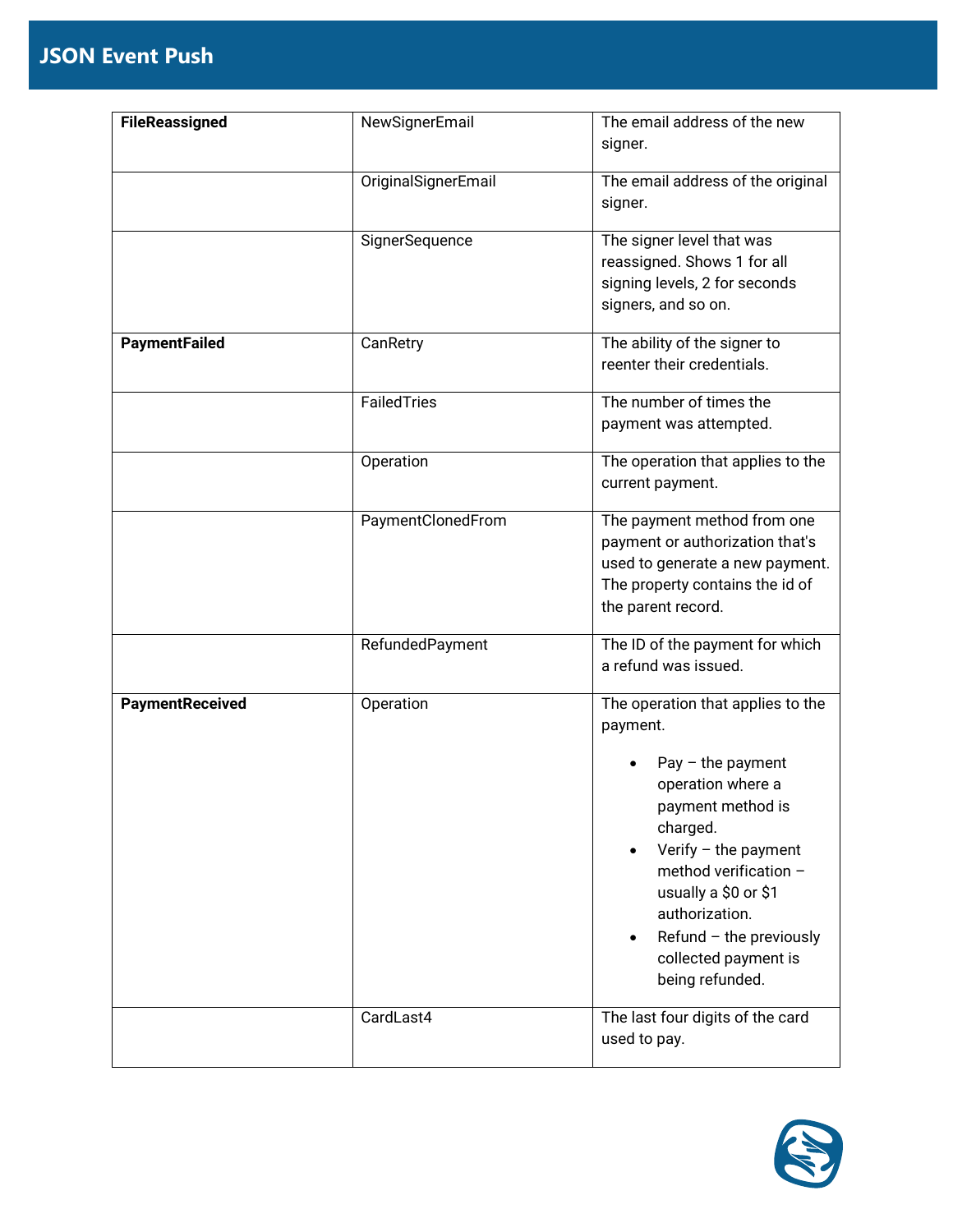| <b>FileReassigned</b> | NewSignerEmail      | The email address of the new                                   |
|-----------------------|---------------------|----------------------------------------------------------------|
|                       |                     | signer.                                                        |
|                       | OriginalSignerEmail | The email address of the original                              |
|                       |                     | signer.                                                        |
|                       | SignerSequence      | The signer level that was                                      |
|                       |                     | reassigned. Shows 1 for all<br>signing levels, 2 for seconds   |
|                       |                     | signers, and so on.                                            |
|                       |                     |                                                                |
| <b>PaymentFailed</b>  | CanRetry            | The ability of the signer to                                   |
|                       |                     | reenter their credentials.                                     |
|                       | FailedTries         | The number of times the                                        |
|                       |                     | payment was attempted.                                         |
|                       | Operation           | The operation that applies to the                              |
|                       |                     | current payment.                                               |
|                       | PaymentClonedFrom   | The payment method from one                                    |
|                       |                     | payment or authorization that's                                |
|                       |                     | used to generate a new payment.                                |
|                       |                     | The property contains the id of<br>the parent record.          |
|                       |                     |                                                                |
|                       | RefundedPayment     | The ID of the payment for which                                |
|                       |                     | a refund was issued.                                           |
| PaymentReceived       | Operation           | The operation that applies to the                              |
|                       |                     | payment.                                                       |
|                       |                     | $Pay$ – the payment                                            |
|                       |                     | operation where a                                              |
|                       |                     | payment method is                                              |
|                       |                     | charged.<br>Verify $-$ the payment                             |
|                       |                     | method verification -                                          |
|                       |                     | usually a \$0 or \$1                                           |
|                       |                     | authorization.                                                 |
|                       |                     | Refund $-$ the previously<br>$\bullet$<br>collected payment is |
|                       |                     | being refunded.                                                |
|                       | CardLast4           | The last four digits of the card                               |
|                       |                     | used to pay.                                                   |

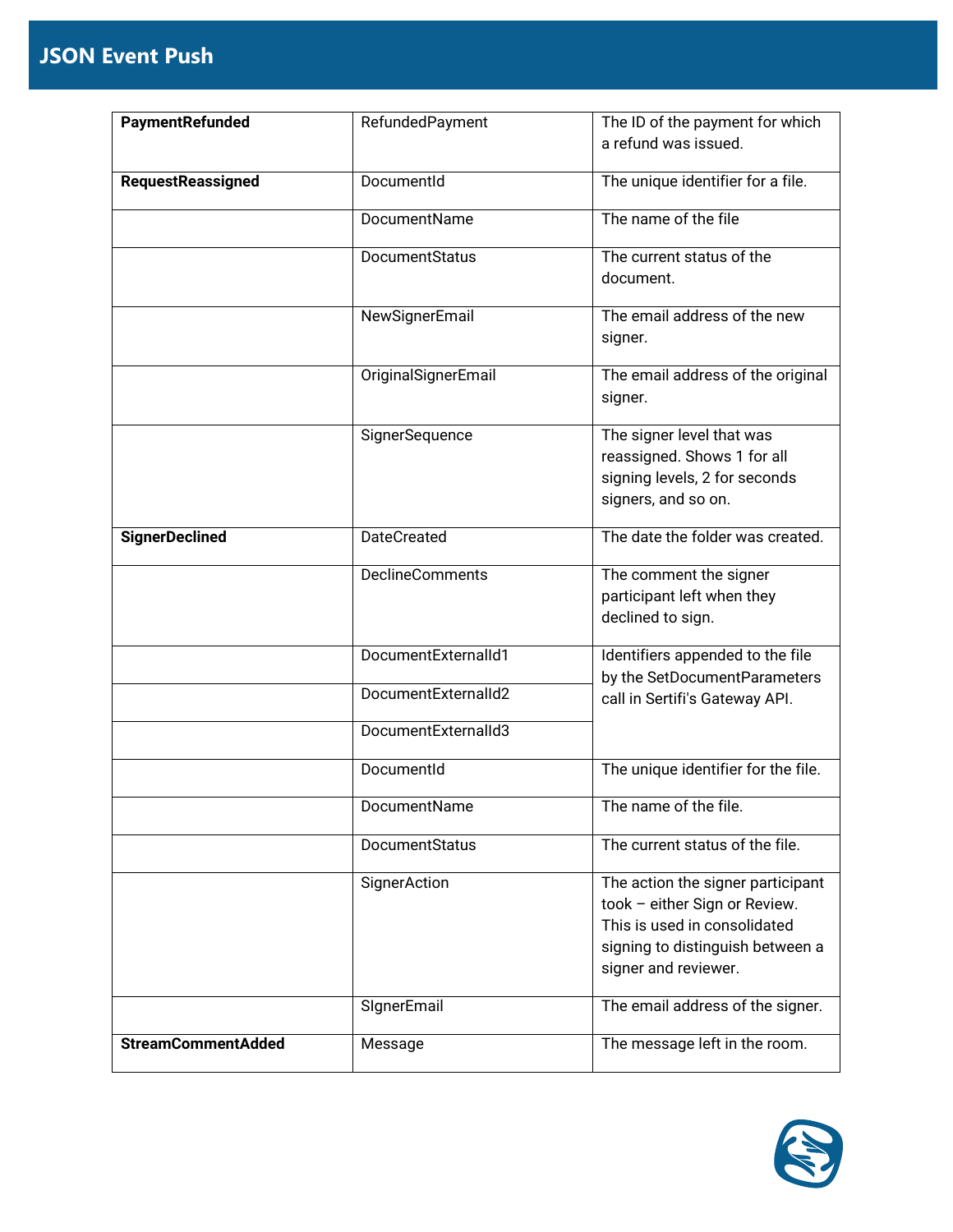| PaymentRefunded           | RefundedPayment     | The ID of the payment for which                                |
|---------------------------|---------------------|----------------------------------------------------------------|
|                           |                     | a refund was issued.                                           |
| <b>RequestReassigned</b>  | DocumentId          | The unique identifier for a file.                              |
|                           |                     |                                                                |
|                           | DocumentName        | The name of the file                                           |
|                           | DocumentStatus      | The current status of the                                      |
|                           |                     | document.                                                      |
|                           | NewSignerEmail      | The email address of the new                                   |
|                           |                     | signer.                                                        |
|                           | OriginalSignerEmail | The email address of the original                              |
|                           |                     | signer.                                                        |
|                           | SignerSequence      | The signer level that was                                      |
|                           |                     | reassigned. Shows 1 for all                                    |
|                           |                     | signing levels, 2 for seconds                                  |
|                           |                     | signers, and so on.                                            |
| <b>SignerDeclined</b>     | <b>DateCreated</b>  | The date the folder was created.                               |
|                           | DeclineComments     | The comment the signer                                         |
|                           |                     | participant left when they                                     |
|                           |                     | declined to sign.                                              |
|                           | DocumentExternalId1 | Identifiers appended to the file                               |
|                           | DocumentExternalId2 | by the SetDocumentParameters<br>call in Sertifi's Gateway API. |
|                           |                     |                                                                |
|                           | DocumentExternalId3 |                                                                |
|                           | DocumentId          | The unique identifier for the file.                            |
|                           | DocumentName        | The name of the file.                                          |
|                           | DocumentStatus      | The current status of the file.                                |
|                           |                     |                                                                |
|                           | SignerAction        | The action the signer participant                              |
|                           |                     | took - either Sign or Review.<br>This is used in consolidated  |
|                           |                     | signing to distinguish between a                               |
|                           |                     | signer and reviewer.                                           |
|                           |                     |                                                                |
|                           | SIgnerEmail         | The email address of the signer.                               |
| <b>StreamCommentAdded</b> | Message             | The message left in the room.                                  |